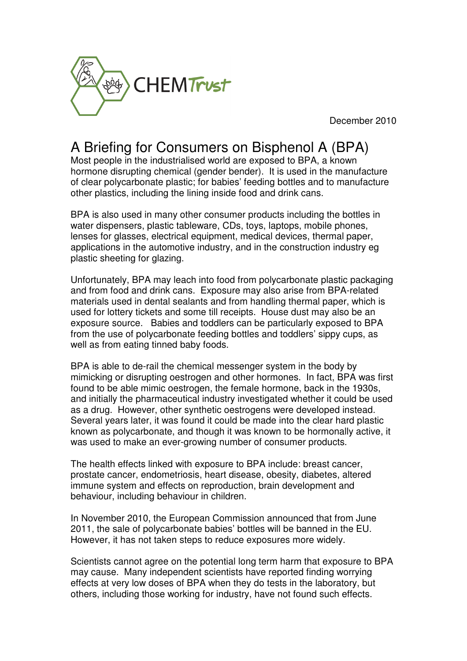

December 2010

## A Briefing for Consumers on Bisphenol A (BPA)

Most people in the industrialised world are exposed to BPA, a known hormone disrupting chemical (gender bender). It is used in the manufacture of clear polycarbonate plastic; for babies' feeding bottles and to manufacture other plastics, including the lining inside food and drink cans.

BPA is also used in many other consumer products including the bottles in water dispensers, plastic tableware, CDs, toys, laptops, mobile phones, lenses for glasses, electrical equipment, medical devices, thermal paper, applications in the automotive industry, and in the construction industry eg plastic sheeting for glazing.

Unfortunately, BPA may leach into food from polycarbonate plastic packaging and from food and drink cans. Exposure may also arise from BPA-related materials used in dental sealants and from handling thermal paper, which is used for lottery tickets and some till receipts. House dust may also be an exposure source. Babies and toddlers can be particularly exposed to BPA from the use of polycarbonate feeding bottles and toddlers' sippy cups, as well as from eating tinned baby foods.

BPA is able to de-rail the chemical messenger system in the body by mimicking or disrupting oestrogen and other hormones. In fact, BPA was first found to be able mimic oestrogen, the female hormone, back in the 1930s, and initially the pharmaceutical industry investigated whether it could be used as a drug. However, other synthetic oestrogens were developed instead. Several years later, it was found it could be made into the clear hard plastic known as polycarbonate, and though it was known to be hormonally active, it was used to make an ever-growing number of consumer products.

The health effects linked with exposure to BPA include: breast cancer, prostate cancer, endometriosis, heart disease, obesity, diabetes, altered immune system and effects on reproduction, brain development and behaviour, including behaviour in children.

In November 2010, the European Commission announced that from June 2011, the sale of polycarbonate babies' bottles will be banned in the EU. However, it has not taken steps to reduce exposures more widely.

Scientists cannot agree on the potential long term harm that exposure to BPA may cause. Many independent scientists have reported finding worrying effects at very low doses of BPA when they do tests in the laboratory, but others, including those working for industry, have not found such effects.